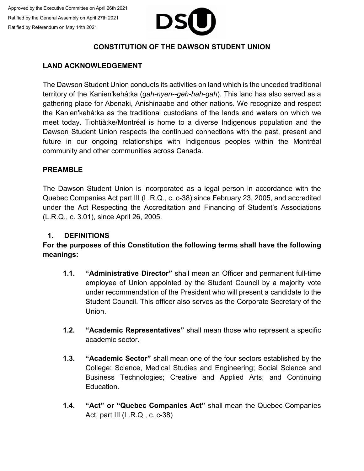

## **CONSTITUTION OF THE DAWSON STUDENT UNION**

## **LAND ACKNOWLEDGEMENT**

The Dawson Student Union conducts its activities on land which is the unceded traditional territory of the Kanien'kehá:ka (*gah-nyen--geh-hah-gah*). This land has also served as a gathering place for Abenaki, Anishinaabe and other nations. We recognize and respect the Kanien'kehá:ka as the traditional custodians of the lands and waters on which we meet today. Tiohtià:ke/Montréal is home to a diverse Indigenous population and the Dawson Student Union respects the continued connections with the past, present and future in our ongoing relationships with Indigenous peoples within the Montréal community and other communities across Canada.

## **PREAMBLE**

The Dawson Student Union is incorporated as a legal person in accordance with the Quebec Companies Act part III (L.R.Q., c. c-38) since February 23, 2005, and accredited under the Act Respecting the Accreditation and Financing of Student's Associations (L.R.Q., c. 3.01), since April 26, 2005.

### **1. DEFINITIONS**

## **For the purposes of this Constitution the following terms shall have the following meanings:**

- **1.1. "Administrative Director"** shall mean an Officer and permanent full-time employee of Union appointed by the Student Council by a majority vote under recommendation of the President who will present a candidate to the Student Council. This officer also serves as the Corporate Secretary of the **Union**
- **1.2. "Academic Representatives"** shall mean those who represent a specific academic sector.
- **1.3. "Academic Sector"** shall mean one of the four sectors established by the College: Science, Medical Studies and Engineering; Social Science and Business Technologies; Creative and Applied Arts; and Continuing Education.
- **1.4. "Act" or "Quebec Companies Act"** shall mean the Quebec Companies Act, part III (L.R.Q., c. c-38)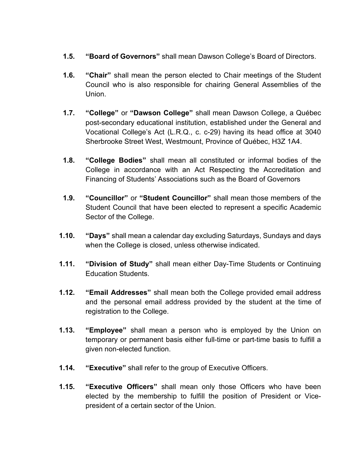- **1.5. "Board of Governors"** shall mean Dawson College's Board of Directors.
- **1.6. "Chair"** shall mean the person elected to Chair meetings of the Student Council who is also responsible for chairing General Assemblies of the Union.
- **1.7. "College"** or **"Dawson College"** shall mean Dawson College, a Québec post-secondary educational institution, established under the General and Vocational College's Act (L.R.Q., c. c-29) having its head office at 3040 Sherbrooke Street West, Westmount, Province of Québec, H3Z 1A4.
- **1.8. "College Bodies"** shall mean all constituted or informal bodies of the College in accordance with an Act Respecting the Accreditation and Financing of Students' Associations such as the Board of Governors
- **1.9. "Councillor"** or **"Student Councillor"** shall mean those members of the Student Council that have been elected to represent a specific Academic Sector of the College.
- **1.10. "Days"** shall mean a calendar day excluding Saturdays, Sundays and days when the College is closed, unless otherwise indicated.
- **1.11. "Division of Study"** shall mean either Day-Time Students or Continuing Education Students.
- **1.12. "Email Addresses"** shall mean both the College provided email address and the personal email address provided by the student at the time of registration to the College.
- **1.13. "Employee"** shall mean a person who is employed by the Union on temporary or permanent basis either full-time or part-time basis to fulfill a given non-elected function.
- **1.14. "Executive"** shall refer to the group of Executive Officers.
- **1.15. "Executive Officers"** shall mean only those Officers who have been elected by the membership to fulfill the position of President or Vicepresident of a certain sector of the Union.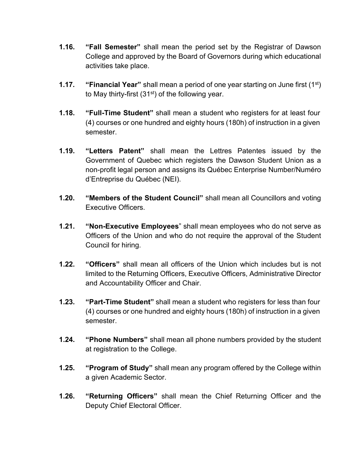- **1.16. "Fall Semester"** shall mean the period set by the Registrar of Dawson College and approved by the Board of Governors during which educational activities take place.
- **1.17. "Financial Year"** shall mean a period of one year starting on June first (1st) to May thirty-first  $(31<sup>st</sup>)$  of the following year.
- **1.18. "Full-Time Student"** shall mean a student who registers for at least four (4) courses or one hundred and eighty hours (180h) of instruction in a given semester.
- **1.19. "Letters Patent"** shall mean the Lettres Patentes issued by the Government of Quebec which registers the Dawson Student Union as a non-profit legal person and assigns its Québec Enterprise Number/Numéro d'Entreprise du Québec (NEI).
- **1.20. "Members of the Student Council"** shall mean all Councillors and voting Executive Officers.
- **1.21. "Non-Executive Employees**" shall mean employees who do not serve as Officers of the Union and who do not require the approval of the Student Council for hiring.
- **1.22. "Officers"** shall mean all officers of the Union which includes but is not limited to the Returning Officers, Executive Officers, Administrative Director and Accountability Officer and Chair.
- **1.23. "Part-Time Student"** shall mean a student who registers for less than four (4) courses or one hundred and eighty hours (180h) of instruction in a given semester.
- **1.24. "Phone Numbers"** shall mean all phone numbers provided by the student at registration to the College.
- **1.25. "Program of Study"** shall mean any program offered by the College within a given Academic Sector.
- **1.26. "Returning Officers"** shall mean the Chief Returning Officer and the Deputy Chief Electoral Officer.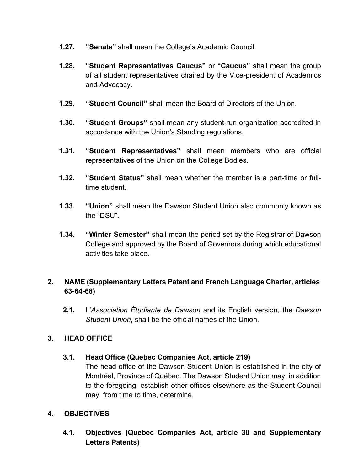- **1.27. "Senate"** shall mean the College's Academic Council.
- **1.28. "Student Representatives Caucus"** or **"Caucus"** shall mean the group of all student representatives chaired by the Vice-president of Academics and Advocacy.
- **1.29. "Student Council"** shall mean the Board of Directors of the Union.
- **1.30. "Student Groups"** shall mean any student-run organization accredited in accordance with the Union's Standing regulations.
- **1.31. "Student Representatives"** shall mean members who are official representatives of the Union on the College Bodies.
- **1.32. "Student Status"** shall mean whether the member is a part-time or fulltime student.
- **1.33. "Union"** shall mean the Dawson Student Union also commonly known as the "DSU".
- **1.34. "Winter Semester"** shall mean the period set by the Registrar of Dawson College and approved by the Board of Governors during which educational activities take place.

# **2. NAME (Supplementary Letters Patent and French Language Charter, articles 63-64-68)**

**2.1.** L'*Association Étudiante de Dawson* and its English version, the *Dawson Student Union*, shall be the official names of the Union.

## **3. HEAD OFFICE**

## **3.1. Head Office (Quebec Companies Act, article 219)**

The head office of the Dawson Student Union is established in the city of Montréal, Province of Québec. The Dawson Student Union may, in addition to the foregoing, establish other offices elsewhere as the Student Council may, from time to time, determine.

## **4. OBJECTIVES**

**4.1. Objectives (Quebec Companies Act, article 30 and Supplementary Letters Patents)**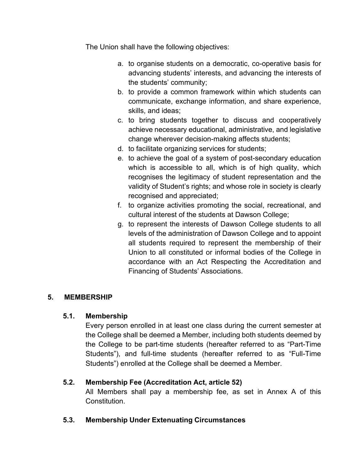The Union shall have the following objectives:

- a. to organise students on a democratic, co-operative basis for advancing students' interests, and advancing the interests of the students' community;
- b. to provide a common framework within which students can communicate, exchange information, and share experience, skills, and ideas;
- c. to bring students together to discuss and cooperatively achieve necessary educational, administrative, and legislative change wherever decision-making affects students;
- d. to facilitate organizing services for students;
- e. to achieve the goal of a system of post-secondary education which is accessible to all, which is of high quality, which recognises the legitimacy of student representation and the validity of Student's rights; and whose role in society is clearly recognised and appreciated;
- f. to organize activities promoting the social, recreational, and cultural interest of the students at Dawson College;
- g. to represent the interests of Dawson College students to all levels of the administration of Dawson College and to appoint all students required to represent the membership of their Union to all constituted or informal bodies of the College in accordance with an Act Respecting the Accreditation and Financing of Students' Associations.

## **5. MEMBERSHIP**

## **5.1. Membership**

Every person enrolled in at least one class during the current semester at the College shall be deemed a Member, including both students deemed by the College to be part-time students (hereafter referred to as "Part-Time Students"), and full-time students (hereafter referred to as "Full-Time Students") enrolled at the College shall be deemed a Member.

## **5.2. Membership Fee (Accreditation Act, article 52)**

All Members shall pay a membership fee, as set in Annex A of this Constitution.

## **5.3. Membership Under Extenuating Circumstances**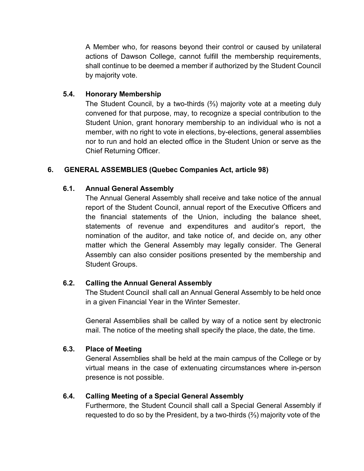A Member who, for reasons beyond their control or caused by unilateral actions of Dawson College, cannot fulfill the membership requirements, shall continue to be deemed a member if authorized by the Student Council by majority vote.

## **5.4. Honorary Membership**

The Student Council, by a two-thirds (⅔) majority vote at a meeting duly convened for that purpose, may, to recognize a special contribution to the Student Union, grant honorary membership to an individual who is not a member, with no right to vote in elections, by-elections, general assemblies nor to run and hold an elected office in the Student Union or serve as the Chief Returning Officer.

## **6. GENERAL ASSEMBLIES (Quebec Companies Act, article 98)**

## **6.1. Annual General Assembly**

The Annual General Assembly shall receive and take notice of the annual report of the Student Council, annual report of the Executive Officers and the financial statements of the Union, including the balance sheet, statements of revenue and expenditures and auditor's report, the nomination of the auditor, and take notice of, and decide on, any other matter which the General Assembly may legally consider. The General Assembly can also consider positions presented by the membership and Student Groups.

# **6.2. Calling the Annual General Assembly**

The Student Council shall call an Annual General Assembly to be held once in a given Financial Year in the Winter Semester.

General Assemblies shall be called by way of a notice sent by electronic mail. The notice of the meeting shall specify the place, the date, the time.

## **6.3. Place of Meeting**

General Assemblies shall be held at the main campus of the College or by virtual means in the case of extenuating circumstances where in-person presence is not possible.

## **6.4. Calling Meeting of a Special General Assembly**

Furthermore, the Student Council shall call a Special General Assembly if requested to do so by the President, by a two-thirds (⅔) majority vote of the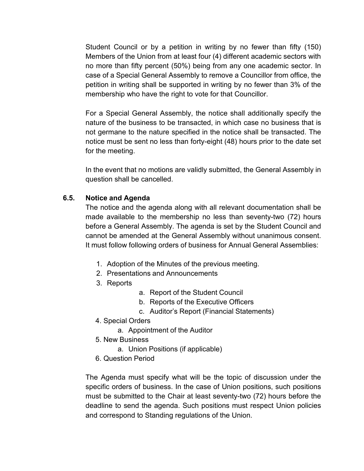Student Council or by a petition in writing by no fewer than fifty (150) Members of the Union from at least four (4) different academic sectors with no more than fifty percent (50%) being from any one academic sector. In case of a Special General Assembly to remove a Councillor from office, the petition in writing shall be supported in writing by no fewer than 3% of the membership who have the right to vote for that Councillor.

For a Special General Assembly, the notice shall additionally specify the nature of the business to be transacted, in which case no business that is not germane to the nature specified in the notice shall be transacted. The notice must be sent no less than forty-eight (48) hours prior to the date set for the meeting.

In the event that no motions are validly submitted, the General Assembly in question shall be cancelled.

## **6.5. Notice and Agenda**

The notice and the agenda along with all relevant documentation shall be made available to the membership no less than seventy-two (72) hours before a General Assembly. The agenda is set by the Student Council and cannot be amended at the General Assembly without unanimous consent. It must follow following orders of business for Annual General Assemblies:

- 1. Adoption of the Minutes of the previous meeting.
- 2. Presentations and Announcements
- 3. Reports
- a. Report of the Student Council
- b. Reports of the Executive Officers
- c. Auditor's Report (Financial Statements)
- 4. Special Orders
	- a. Appointment of the Auditor
- 5. New Business
	- a. Union Positions (if applicable)
- 6. Question Period

The Agenda must specify what will be the topic of discussion under the specific orders of business. In the case of Union positions, such positions must be submitted to the Chair at least seventy-two (72) hours before the deadline to send the agenda. Such positions must respect Union policies and correspond to Standing regulations of the Union.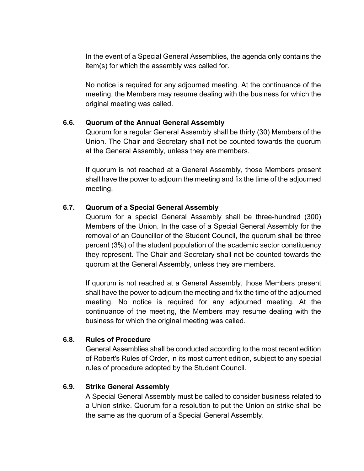In the event of a Special General Assemblies, the agenda only contains the item(s) for which the assembly was called for.

No notice is required for any adjourned meeting. At the continuance of the meeting, the Members may resume dealing with the business for which the original meeting was called.

### **6.6. Quorum of the Annual General Assembly**

Quorum for a regular General Assembly shall be thirty (30) Members of the Union. The Chair and Secretary shall not be counted towards the quorum at the General Assembly, unless they are members.

If quorum is not reached at a General Assembly, those Members present shall have the power to adjourn the meeting and fix the time of the adjourned meeting.

## **6.7. Quorum of a Special General Assembly**

Quorum for a special General Assembly shall be three-hundred (300) Members of the Union. In the case of a Special General Assembly for the removal of an Councillor of the Student Council, the quorum shall be three percent (3%) of the student population of the academic sector constituency they represent. The Chair and Secretary shall not be counted towards the quorum at the General Assembly, unless they are members.

If quorum is not reached at a General Assembly, those Members present shall have the power to adjourn the meeting and fix the time of the adjourned meeting. No notice is required for any adjourned meeting. At the continuance of the meeting, the Members may resume dealing with the business for which the original meeting was called.

#### **6.8. Rules of Procedure**

General Assemblies shall be conducted according to the most recent edition of Robert's Rules of Order, in its most current edition, subject to any special rules of procedure adopted by the Student Council.

#### **6.9. Strike General Assembly**

A Special General Assembly must be called to consider business related to a Union strike. Quorum for a resolution to put the Union on strike shall be the same as the quorum of a Special General Assembly.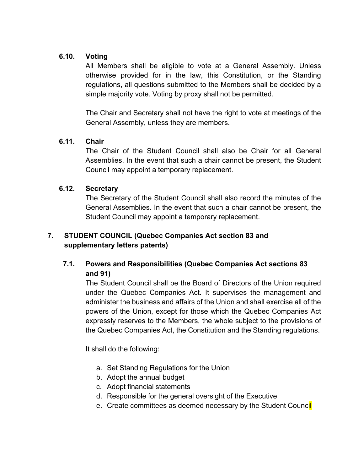## **6.10. Voting**

All Members shall be eligible to vote at a General Assembly. Unless otherwise provided for in the law, this Constitution, or the Standing regulations, all questions submitted to the Members shall be decided by a simple majority vote. Voting by proxy shall not be permitted.

The Chair and Secretary shall not have the right to vote at meetings of the General Assembly, unless they are members.

## **6.11. Chair**

The Chair of the Student Council shall also be Chair for all General Assemblies. In the event that such a chair cannot be present, the Student Council may appoint a temporary replacement.

## **6.12. Secretary**

The Secretary of the Student Council shall also record the minutes of the General Assemblies. In the event that such a chair cannot be present, the Student Council may appoint a temporary replacement.

# **7. STUDENT COUNCIL (Quebec Companies Act section 83 and supplementary letters patents)**

# **7.1. Powers and Responsibilities (Quebec Companies Act sections 83 and 91)**

The Student Council shall be the Board of Directors of the Union required under the Quebec Companies Act. It supervises the management and administer the business and affairs of the Union and shall exercise all of the powers of the Union, except for those which the Quebec Companies Act expressly reserves to the Members, the whole subject to the provisions of the Quebec Companies Act, the Constitution and the Standing regulations.

It shall do the following:

- a. Set Standing Regulations for the Union
- b. Adopt the annual budget
- c. Adopt financial statements
- d. Responsible for the general oversight of the Executive
- e. Create committees as deemed necessary by the Student Council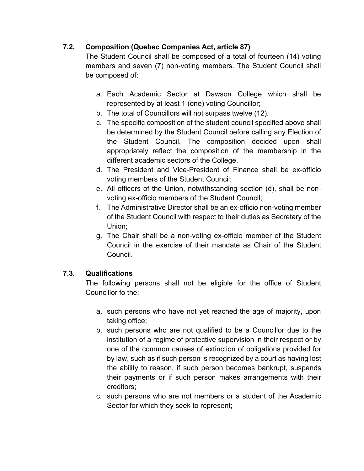# **7.2. Composition (Quebec Companies Act, article 87)**

The Student Council shall be composed of a total of fourteen (14) voting members and seven (7) non-voting members. The Student Council shall be composed of:

- a. Each Academic Sector at Dawson College which shall be represented by at least 1 (one) voting Councillor;
- b. The total of Councillors will not surpass twelve (12).
- c. The specific composition of the student council specified above shall be determined by the Student Council before calling any Election of the Student Council. The composition decided upon shall appropriately reflect the composition of the membership in the different academic sectors of the College.
- d. The President and Vice-President of Finance shall be ex-officio voting members of the Student Council;
- e. All officers of the Union, notwithstanding section (d), shall be nonvoting ex-officio members of the Student Council;
- f. The Administrative Director shall be an ex-officio non-voting member of the Student Council with respect to their duties as Secretary of the Union;
- g. The Chair shall be a non-voting ex-officio member of the Student Council in the exercise of their mandate as Chair of the Student Council.

# **7.3. Qualifications**

The following persons shall not be eligible for the office of Student Councillor fo the:

- a. such persons who have not yet reached the age of majority, upon taking office;
- b. such persons who are not qualified to be a Councillor due to the institution of a regime of protective supervision in their respect or by one of the common causes of extinction of obligations provided for by law, such as if such person is recognized by a court as having lost the ability to reason, if such person becomes bankrupt, suspends their payments or if such person makes arrangements with their creditors;
- c. such persons who are not members or a student of the Academic Sector for which they seek to represent;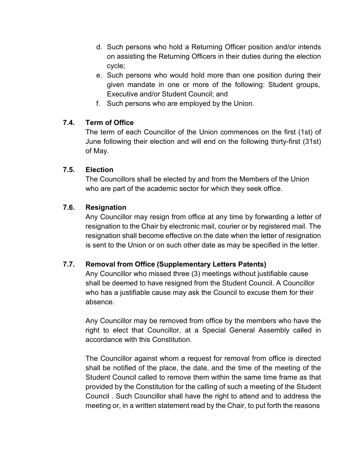- d. Such persons who hold a Returning Officer position and/or intends on assisting the Returning Officers in their duties during the election cycle;
- e. Such persons who would hold more than one position during their given mandate in one or more of the following: Student groups, Executive and/or Student Council; and
- f. Such persons who are employed by the Union.

## **7.4. Term of Office**

The term of each Councillor of the Union commences on the first (1st) of June following their election and will end on the following thirty-first (31st) of May.

## **7.5. Election**

The Councillors shall be elected by and from the Members of the Union who are part of the academic sector for which they seek office.

# **7.6. Resignation**

Any Councillor may resign from office at any time by forwarding a letter of resignation to the Chair by electronic mail, courier or by registered mail. The resignation shall become effective on the date when the letter of resignation is sent to the Union or on such other date as may be specified in the letter.

# **7.7. Removal from Office (Supplementary Letters Patents)**

Any Councillor who missed three (3) meetings without justifiable cause shall be deemed to have resigned from the Student Council. A Councillor who has a justifiable cause may ask the Council to excuse them for their absence.

Any Councillor may be removed from office by the members who have the right to elect that Councillor, at a Special General Assembly called in accordance with this Constitution.

The Councillor against whom a request for removal from office is directed shall be notified of the place, the date, and the time of the meeting of the Student Council called to remove them within the same time frame as that provided by the Constitution for the calling of such a meeting of the Student Council . Such Councillor shall have the right to attend and to address the meeting or, in a written statement read by the Chair, to put forth the reasons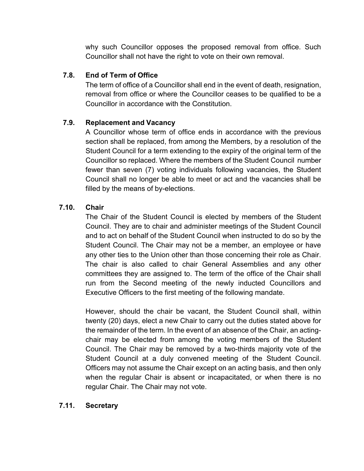why such Councillor opposes the proposed removal from office. Such Councillor shall not have the right to vote on their own removal.

## **7.8. End of Term of Office**

The term of office of a Councillor shall end in the event of death, resignation, removal from office or where the Councillor ceases to be qualified to be a Councillor in accordance with the Constitution.

## **7.9. Replacement and Vacancy**

A Councillor whose term of office ends in accordance with the previous section shall be replaced, from among the Members, by a resolution of the Student Council for a term extending to the expiry of the original term of the Councillor so replaced. Where the members of the Student Council number fewer than seven (7) voting individuals following vacancies, the Student Council shall no longer be able to meet or act and the vacancies shall be filled by the means of by-elections.

## **7.10. Chair**

The Chair of the Student Council is elected by members of the Student Council. They are to chair and administer meetings of the Student Council and to act on behalf of the Student Council when instructed to do so by the Student Council. The Chair may not be a member, an employee or have any other ties to the Union other than those concerning their role as Chair. The chair is also called to chair General Assemblies and any other committees they are assigned to. The term of the office of the Chair shall run from the Second meeting of the newly inducted Councillors and Executive Officers to the first meeting of the following mandate.

However, should the chair be vacant, the Student Council shall, within twenty (20) days, elect a new Chair to carry out the duties stated above for the remainder of the term. In the event of an absence of the Chair, an actingchair may be elected from among the voting members of the Student Council. The Chair may be removed by a two-thirds majority vote of the Student Council at a duly convened meeting of the Student Council. Officers may not assume the Chair except on an acting basis, and then only when the regular Chair is absent or incapacitated, or when there is no regular Chair. The Chair may not vote.

## **7.11. Secretary**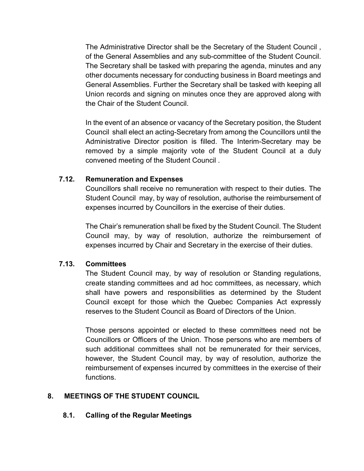The Administrative Director shall be the Secretary of the Student Council , of the General Assemblies and any sub-committee of the Student Council. The Secretary shall be tasked with preparing the agenda, minutes and any other documents necessary for conducting business in Board meetings and General Assemblies. Further the Secretary shall be tasked with keeping all Union records and signing on minutes once they are approved along with the Chair of the Student Council.

In the event of an absence or vacancy of the Secretary position, the Student Council shall elect an acting-Secretary from among the Councillors until the Administrative Director position is filled. The Interim-Secretary may be removed by a simple majority vote of the Student Council at a duly convened meeting of the Student Council .

### **7.12. Remuneration and Expenses**

Councillors shall receive no remuneration with respect to their duties. The Student Council may, by way of resolution, authorise the reimbursement of expenses incurred by Councillors in the exercise of their duties.

The Chair's remuneration shall be fixed by the Student Council. The Student Council may, by way of resolution, authorize the reimbursement of expenses incurred by Chair and Secretary in the exercise of their duties.

## **7.13. Committees**

The Student Council may, by way of resolution or Standing regulations, create standing committees and ad hoc committees, as necessary, which shall have powers and responsibilities as determined by the Student Council except for those which the Quebec Companies Act expressly reserves to the Student Council as Board of Directors of the Union.

Those persons appointed or elected to these committees need not be Councillors or Officers of the Union. Those persons who are members of such additional committees shall not be remunerated for their services, however, the Student Council may, by way of resolution, authorize the reimbursement of expenses incurred by committees in the exercise of their functions.

## **8. MEETINGS OF THE STUDENT COUNCIL**

## **8.1. Calling of the Regular Meetings**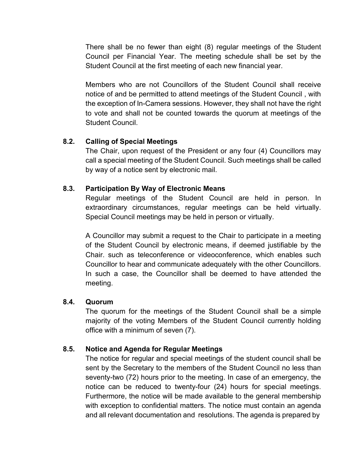There shall be no fewer than eight (8) regular meetings of the Student Council per Financial Year. The meeting schedule shall be set by the Student Council at the first meeting of each new financial year.

Members who are not Councillors of the Student Council shall receive notice of and be permitted to attend meetings of the Student Council , with the exception of In-Camera sessions. However, they shall not have the right to vote and shall not be counted towards the quorum at meetings of the Student Council.

## **8.2. Calling of Special Meetings**

The Chair, upon request of the President or any four (4) Councillors may call a special meeting of the Student Council. Such meetings shall be called by way of a notice sent by electronic mail.

## **8.3. Participation By Way of Electronic Means**

Regular meetings of the Student Council are held in person. In extraordinary circumstances, regular meetings can be held virtually. Special Council meetings may be held in person or virtually.

A Councillor may submit a request to the Chair to participate in a meeting of the Student Council by electronic means, if deemed justifiable by the Chair. such as teleconference or videoconference, which enables such Councillor to hear and communicate adequately with the other Councillors. In such a case, the Councillor shall be deemed to have attended the meeting.

## **8.4. Quorum**

The quorum for the meetings of the Student Council shall be a simple majority of the voting Members of the Student Council currently holding office with a minimum of seven (7).

## **8.5. Notice and Agenda for Regular Meetings**

The notice for regular and special meetings of the student council shall be sent by the Secretary to the members of the Student Council no less than seventy-two (72) hours prior to the meeting. In case of an emergency, the notice can be reduced to twenty-four (24) hours for special meetings. Furthermore, the notice will be made available to the general membership with exception to confidential matters. The notice must contain an agenda and all relevant documentation and resolutions. The agenda is prepared by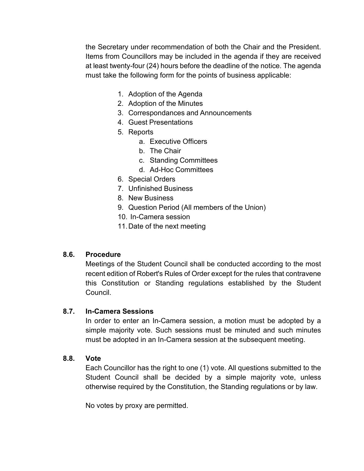the Secretary under recommendation of both the Chair and the President. Items from Councillors may be included in the agenda if they are received at least twenty-four (24) hours before the deadline of the notice. The agenda must take the following form for the points of business applicable:

- 1. Adoption of the Agenda
- 2. Adoption of the Minutes
- 3. Correspondances and Announcements
- 4. Guest Presentations
- 5. Reports
	- a. Executive Officers
	- b. The Chair
	- c. Standing Committees
	- d. Ad-Hoc Committees
- 6. Special Orders
- 7. Unfinished Business
- 8. New Business
- 9. Question Period (All members of the Union)
- 10. In-Camera session
- 11.Date of the next meeting

#### **8.6. Procedure**

Meetings of the Student Council shall be conducted according to the most recent edition of Robert's Rules of Order except for the rules that contravene this Constitution or Standing regulations established by the Student Council.

#### **8.7. In-Camera Sessions**

In order to enter an In-Camera session, a motion must be adopted by a simple majority vote. Such sessions must be minuted and such minutes must be adopted in an In-Camera session at the subsequent meeting.

#### **8.8. Vote**

Each Councillor has the right to one (1) vote. All questions submitted to the Student Council shall be decided by a simple majority vote, unless otherwise required by the Constitution, the Standing regulations or by law.

No votes by proxy are permitted.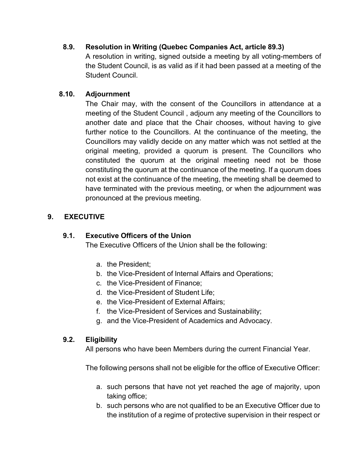## **8.9. Resolution in Writing (Quebec Companies Act, article 89.3)**

A resolution in writing, signed outside a meeting by all voting-members of the Student Council, is as valid as if it had been passed at a meeting of the Student Council.

## **8.10. Adjournment**

The Chair may, with the consent of the Councillors in attendance at a meeting of the Student Council , adjourn any meeting of the Councillors to another date and place that the Chair chooses, without having to give further notice to the Councillors. At the continuance of the meeting, the Councillors may validly decide on any matter which was not settled at the original meeting, provided a quorum is present. The Councillors who constituted the quorum at the original meeting need not be those constituting the quorum at the continuance of the meeting. If a quorum does not exist at the continuance of the meeting, the meeting shall be deemed to have terminated with the previous meeting, or when the adjournment was pronounced at the previous meeting.

# **9. EXECUTIVE**

## **9.1. Executive Officers of the Union**

The Executive Officers of the Union shall be the following:

- a. the President;
- b. the Vice-President of Internal Affairs and Operations;
- c. the Vice-President of Finance;
- d. the Vice-President of Student Life;
- e. the Vice-President of External Affairs;
- f. the Vice-President of Services and Sustainability;
- g. and the Vice-President of Academics and Advocacy.

## **9.2. Eligibility**

All persons who have been Members during the current Financial Year.

The following persons shall not be eligible for the office of Executive Officer:

- a. such persons that have not yet reached the age of majority, upon taking office;
- b. such persons who are not qualified to be an Executive Officer due to the institution of a regime of protective supervision in their respect or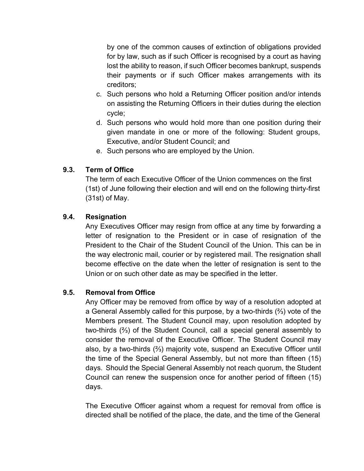by one of the common causes of extinction of obligations provided for by law, such as if such Officer is recognised by a court as having lost the ability to reason, if such Officer becomes bankrupt, suspends their payments or if such Officer makes arrangements with its creditors;

- c. Such persons who hold a Returning Officer position and/or intends on assisting the Returning Officers in their duties during the election cycle;
- d. Such persons who would hold more than one position during their given mandate in one or more of the following: Student groups, Executive, and/or Student Council; and
- e. Such persons who are employed by the Union.

## **9.3. Term of Office**

The term of each Executive Officer of the Union commences on the first (1st) of June following their election and will end on the following thirty-first (31st) of May.

## **9.4. Resignation**

Any Executives Officer may resign from office at any time by forwarding a letter of resignation to the President or in case of resignation of the President to the Chair of the Student Council of the Union. This can be in the way electronic mail, courier or by registered mail. The resignation shall become effective on the date when the letter of resignation is sent to the Union or on such other date as may be specified in the letter.

## **9.5. Removal from Office**

Any Officer may be removed from office by way of a resolution adopted at a General Assembly called for this purpose, by a two-thirds (⅔) vote of the Members present. The Student Council may, upon resolution adopted by two-thirds (⅔) of the Student Council, call a special general assembly to consider the removal of the Executive Officer. The Student Council may also, by a two-thirds (⅔) majority vote, suspend an Executive Officer until the time of the Special General Assembly, but not more than fifteen (15) days. Should the Special General Assembly not reach quorum, the Student Council can renew the suspension once for another period of fifteen (15) days.

The Executive Officer against whom a request for removal from office is directed shall be notified of the place, the date, and the time of the General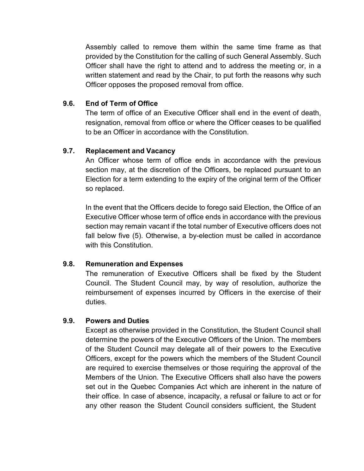Assembly called to remove them within the same time frame as that provided by the Constitution for the calling of such General Assembly. Such Officer shall have the right to attend and to address the meeting or, in a written statement and read by the Chair, to put forth the reasons why such Officer opposes the proposed removal from office.

### **9.6. End of Term of Office**

The term of office of an Executive Officer shall end in the event of death, resignation, removal from office or where the Officer ceases to be qualified to be an Officer in accordance with the Constitution.

### **9.7. Replacement and Vacancy**

An Officer whose term of office ends in accordance with the previous section may, at the discretion of the Officers, be replaced pursuant to an Election for a term extending to the expiry of the original term of the Officer so replaced.

In the event that the Officers decide to forego said Election, the Office of an Executive Officer whose term of office ends in accordance with the previous section may remain vacant if the total number of Executive officers does not fall below five (5). Otherwise, a by-election must be called in accordance with this Constitution.

## **9.8. Remuneration and Expenses**

The remuneration of Executive Officers shall be fixed by the Student Council. The Student Council may, by way of resolution, authorize the reimbursement of expenses incurred by Officers in the exercise of their duties.

## **9.9. Powers and Duties**

Except as otherwise provided in the Constitution, the Student Council shall determine the powers of the Executive Officers of the Union. The members of the Student Council may delegate all of their powers to the Executive Officers, except for the powers which the members of the Student Council are required to exercise themselves or those requiring the approval of the Members of the Union. The Executive Officers shall also have the powers set out in the Quebec Companies Act which are inherent in the nature of their office. In case of absence, incapacity, a refusal or failure to act or for any other reason the Student Council considers sufficient, the Student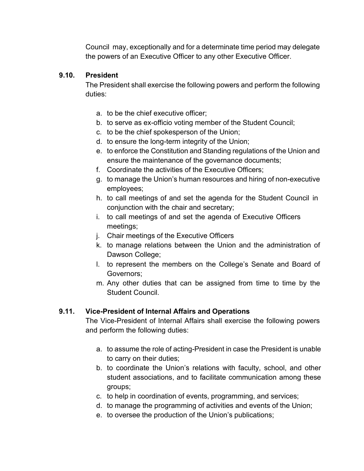Council may, exceptionally and for a determinate time period may delegate the powers of an Executive Officer to any other Executive Officer.

## **9.10. President**

The President shall exercise the following powers and perform the following duties:

- a. to be the chief executive officer;
- b. to serve as ex-officio voting member of the Student Council;
- c. to be the chief spokesperson of the Union;
- d. to ensure the long-term integrity of the Union;
- e. to enforce the Constitution and Standing regulations of the Union and ensure the maintenance of the governance documents;
- f. Coordinate the activities of the Executive Officers;
- g. to manage the Union's human resources and hiring of non-executive employees;
- h. to call meetings of and set the agenda for the Student Council in conjunction with the chair and secretary;
- i. to call meetings of and set the agenda of Executive Officers meetings;
- j. Chair meetings of the Executive Officers
- k. to manage relations between the Union and the administration of Dawson College;
- l. to represent the members on the College's Senate and Board of Governors;
- m. Any other duties that can be assigned from time to time by the Student Council.

# **9.11. Vice-President of Internal Affairs and Operations**

The Vice-President of Internal Affairs shall exercise the following powers and perform the following duties:

- a. to assume the role of acting-President in case the President is unable to carry on their duties;
- b. to coordinate the Union's relations with faculty, school, and other student associations, and to facilitate communication among these groups;
- c. to help in coordination of events, programming, and services;
- d. to manage the programming of activities and events of the Union;
- e. to oversee the production of the Union's publications;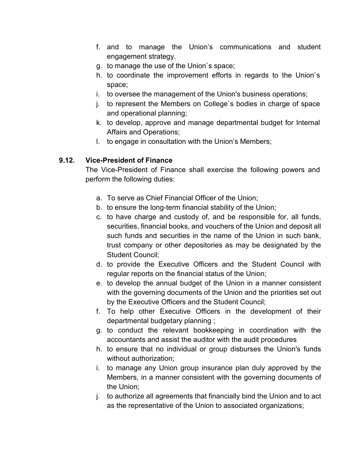- f. and to manage the Union's communications and student engagement strategy.
- g. to manage the use of the Union`s space;
- h. to coordinate the improvement efforts in regards to the Union`s space;
- i. to oversee the management of the Union's business operations;
- j. to represent the Members on College`s bodies in charge of space and operational planning;
- k. to develop, approve and manage departmental budget for Internal Affairs and Operations;
- l. to engage in consultation with the Union's Members;

# **9.12. Vice-President of Finance**

The Vice-President of Finance shall exercise the following powers and perform the following duties:

- a. To serve as Chief Financial Officer of the Union;
- b. to ensure the long-term financial stability of the Union;
- c. to have charge and custody of, and be responsible for, all funds, securities, financial books, and vouchers of the Union and deposit all such funds and securities in the name of the Union in such bank, trust company or other depositories as may be designated by the Student Council;
- d. to provide the Executive Officers and the Student Council with regular reports on the financial status of the Union;
- e. to develop the annual budget of the Union in a manner consistent with the governing documents of the Union and the priorities set out by the Executive Officers and the Student Council;
- f. To help other Executive Officers in the development of their departmental budgetary planning ;
- g. to conduct the relevant bookkeeping in coordination with the accountants and assist the auditor with the audit procedures
- h. to ensure that no individual or group disburses the Union's funds without authorization;
- i. to manage any Union group insurance plan duly approved by the Members, in a manner consistent with the governing documents of the Union;
- j. to authorize all agreements that financially bind the Union and to act as the representative of the Union to associated organizations;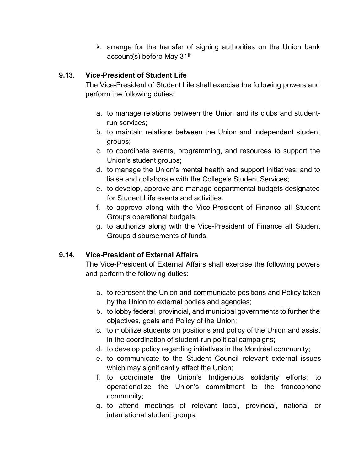k. arrange for the transfer of signing authorities on the Union bank account(s) before May 31<sup>th</sup>

# **9.13. Vice-President of Student Life**

The Vice-President of Student Life shall exercise the following powers and perform the following duties:

- a. to manage relations between the Union and its clubs and studentrun services;
- b. to maintain relations between the Union and independent student groups;
- c. to coordinate events, programming, and resources to support the Union's student groups;
- d. to manage the Union's mental health and support initiatives; and to liaise and collaborate with the College's Student Services;
- e. to develop, approve and manage departmental budgets designated for Student Life events and activities.
- f. to approve along with the Vice-President of Finance all Student Groups operational budgets.
- g. to authorize along with the Vice-President of Finance all Student Groups disbursements of funds.

# **9.14. Vice-President of External Affairs**

The Vice-President of External Affairs shall exercise the following powers and perform the following duties:

- a. to represent the Union and communicate positions and Policy taken by the Union to external bodies and agencies;
- b. to lobby federal, provincial, and municipal governments to further the objectives, goals and Policy of the Union;
- c. to mobilize students on positions and policy of the Union and assist in the coordination of student-run political campaigns;
- d. to develop policy regarding initiatives in the Montréal community;
- e. to communicate to the Student Council relevant external issues which may significantly affect the Union;
- f. to coordinate the Union's Indigenous solidarity efforts; to operationalize the Union's commitment to the francophone community;
- g. to attend meetings of relevant local, provincial, national or international student groups;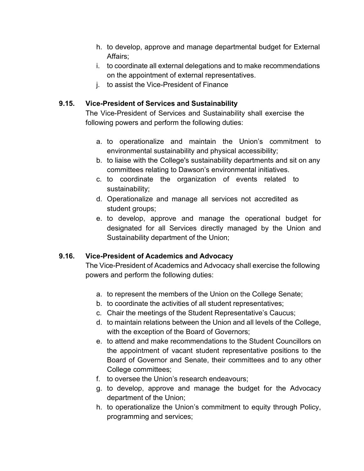- h. to develop, approve and manage departmental budget for External Affairs;
- i. to coordinate all external delegations and to make recommendations on the appointment of external representatives.
- j. to assist the Vice-President of Finance

## **9.15. Vice-President of Services and Sustainability**

The Vice-President of Services and Sustainability shall exercise the following powers and perform the following duties:

- a. to operationalize and maintain the Union's commitment to environmental sustainability and physical accessibility;
- b. to liaise with the College's sustainability departments and sit on any committees relating to Dawson's environmental initiatives.
- c. to coordinate the organization of events related to sustainability;
- d. Operationalize and manage all services not accredited as student groups;
- e. to develop, approve and manage the operational budget for designated for all Services directly managed by the Union and Sustainability department of the Union;

# **9.16. Vice-President of Academics and Advocacy**

The Vice-President of Academics and Advocacy shall exercise the following powers and perform the following duties:

- a. to represent the members of the Union on the College Senate;
- b. to coordinate the activities of all student representatives;
- c. Chair the meetings of the Student Representative's Caucus;
- d. to maintain relations between the Union and all levels of the College, with the exception of the Board of Governors:
- e. to attend and make recommendations to the Student Councillors on the appointment of vacant student representative positions to the Board of Governor and Senate, their committees and to any other College committees;
- f. to oversee the Union's research endeavours;
- g. to develop, approve and manage the budget for the Advocacy department of the Union;
- h. to operationalize the Union's commitment to equity through Policy, programming and services;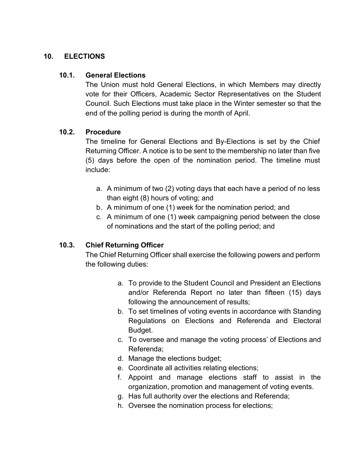### **10. ELECTIONS**

### **10.1. General Elections**

The Union must hold General Elections, in which Members may directly vote for their Officers, Academic Sector Representatives on the Student Council. Such Elections must take place in the Winter semester so that the end of the polling period is during the month of April.

### **10.2. Procedure**

The timeline for General Elections and By-Elections is set by the Chief Returning Officer. A notice is to be sent to the membership no later than five (5) days before the open of the nomination period. The timeline must include:

- a. A minimum of two (2) voting days that each have a period of no less than eight (8) hours of voting; and
- b. A minimum of one (1) week for the nomination period; and
- c. A minimum of one (1) week campaigning period between the close of nominations and the start of the polling period; and

## **10.3. Chief Returning Officer**

The Chief Returning Officer shall exercise the following powers and perform the following duties:

- a. To provide to the Student Council and President an Elections and/or Referenda Report no later than fifteen (15) days following the announcement of results;
- b. To set timelines of voting events in accordance with Standing Regulations on Elections and Referenda and Electoral Budget.
- c. To oversee and manage the voting process' of Elections and Referenda;
- d. Manage the elections budget;
- e. Coordinate all activities relating elections;
- f. Appoint and manage elections staff to assist in the organization, promotion and management of voting events.
- g. Has full authority over the elections and Referenda;
- h. Oversee the nomination process for elections;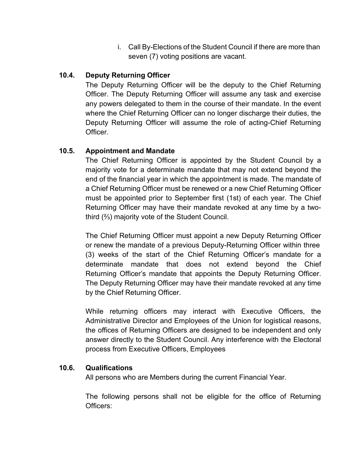i. Call By-Elections of the Student Council if there are more than seven (7) voting positions are vacant.

## **10.4. Deputy Returning Officer**

The Deputy Returning Officer will be the deputy to the Chief Returning Officer. The Deputy Returning Officer will assume any task and exercise any powers delegated to them in the course of their mandate. In the event where the Chief Returning Officer can no longer discharge their duties, the Deputy Returning Officer will assume the role of acting-Chief Returning **Officer** 

## **10.5. Appointment and Mandate**

The Chief Returning Officer is appointed by the Student Council by a majority vote for a determinate mandate that may not extend beyond the end of the financial year in which the appointment is made. The mandate of a Chief Returning Officer must be renewed or a new Chief Returning Officer must be appointed prior to September first (1st) of each year. The Chief Returning Officer may have their mandate revoked at any time by a twothird (⅔) majority vote of the Student Council.

The Chief Returning Officer must appoint a new Deputy Returning Officer or renew the mandate of a previous Deputy-Returning Officer within three (3) weeks of the start of the Chief Returning Officer's mandate for a determinate mandate that does not extend beyond the Chief Returning Officer's mandate that appoints the Deputy Returning Officer. The Deputy Returning Officer may have their mandate revoked at any time by the Chief Returning Officer.

While returning officers may interact with Executive Officers, the Administrative Director and Employees of the Union for logistical reasons, the offices of Returning Officers are designed to be independent and only answer directly to the Student Council. Any interference with the Electoral process from Executive Officers, Employees

## **10.6. Qualifications**

All persons who are Members during the current Financial Year.

The following persons shall not be eligible for the office of Returning Officers: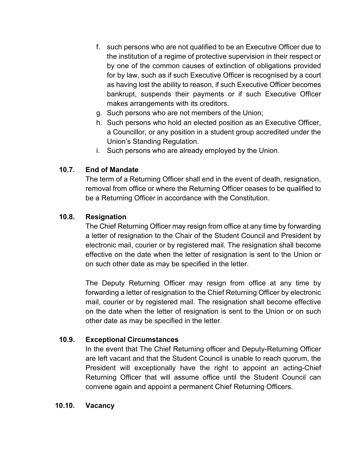- f. such persons who are not qualified to be an Executive Officer due to the institution of a regime of protective supervision in their respect or by one of the common causes of extinction of obligations provided for by law, such as if such Executive Officer is recognised by a court as having lost the ability to reason, if such Executive Officer becomes bankrupt, suspends their payments or if such Executive Officer makes arrangements with its creditors.
- g. Such persons who are not members of the Union;
- h. Such persons who hold an elected position as an Executive Officer, a Councillor, or any position in a student group accredited under the Union's Standing Regulation.
- i. Such persons who are already employed by the Union.

## **10.7. End of Mandate**

The term of a Returning Officer shall end in the event of death, resignation, removal from office or where the Returning Officer ceases to be qualified to be a Returning Officer in accordance with the Constitution.

## **10.8. Resignation**

The Chief Returning Officer may resign from office at any time by forwarding a letter of resignation to the Chair of the Student Council and President by electronic mail, courier or by registered mail. The resignation shall become effective on the date when the letter of resignation is sent to the Union or on such other date as may be specified in the letter.

The Deputy Returning Officer may resign from office at any time by forwarding a letter of resignation to the Chief Returning Officer by electronic mail, courier or by registered mail. The resignation shall become effective on the date when the letter of resignation is sent to the Union or on such other date as may be specified in the letter.

## **10.9. Exceptional Circumstances**

In the event that The Chief Returning officer and Deputy-Returning Officer are left vacant and that the Student Council is unable to reach quorum, the President will exceptionally have the right to appoint an acting-Chief Returning Officer that will assume office until the Student Council can convene again and appoint a permanent Chief Returning Officers.

## **10.10. Vacancy**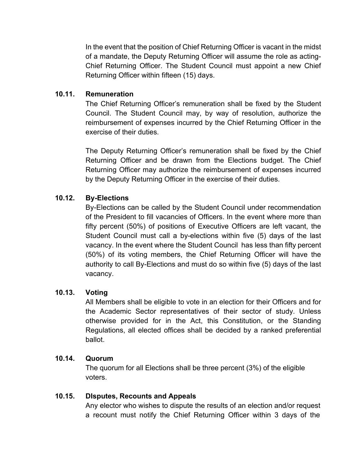In the event that the position of Chief Returning Officer is vacant in the midst of a mandate, the Deputy Returning Officer will assume the role as acting-Chief Returning Officer. The Student Council must appoint a new Chief Returning Officer within fifteen (15) days.

## **10.11. Remuneration**

The Chief Returning Officer's remuneration shall be fixed by the Student Council. The Student Council may, by way of resolution, authorize the reimbursement of expenses incurred by the Chief Returning Officer in the exercise of their duties.

The Deputy Returning Officer's remuneration shall be fixed by the Chief Returning Officer and be drawn from the Elections budget. The Chief Returning Officer may authorize the reimbursement of expenses incurred by the Deputy Returning Officer in the exercise of their duties.

### **10.12. By-Elections**

By-Elections can be called by the Student Council under recommendation of the President to fill vacancies of Officers. In the event where more than fifty percent (50%) of positions of Executive Officers are left vacant, the Student Council must call a by-elections within five (5) days of the last vacancy. In the event where the Student Council has less than fifty percent (50%) of its voting members, the Chief Returning Officer will have the authority to call By-Elections and must do so within five (5) days of the last vacancy.

## **10.13. Voting**

All Members shall be eligible to vote in an election for their Officers and for the Academic Sector representatives of their sector of study. Unless otherwise provided for in the Act, this Constitution, or the Standing Regulations, all elected offices shall be decided by a ranked preferential ballot.

#### **10.14. Quorum**

The quorum for all Elections shall be three percent (3%) of the eligible voters.

#### **10.15. DIsputes, Recounts and Appeals**

Any elector who wishes to dispute the results of an election and/or request a recount must notify the Chief Returning Officer within 3 days of the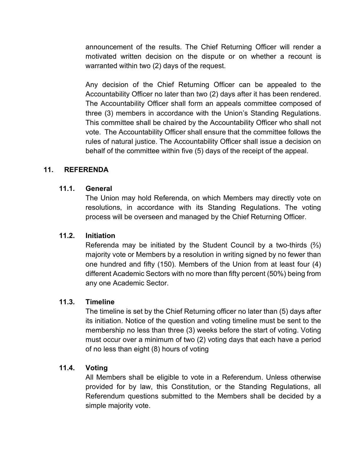announcement of the results. The Chief Returning Officer will render a motivated written decision on the dispute or on whether a recount is warranted within two (2) days of the request.

Any decision of the Chief Returning Officer can be appealed to the Accountability Officer no later than two (2) days after it has been rendered. The Accountability Officer shall form an appeals committee composed of three (3) members in accordance with the Union's Standing Regulations. This committee shall be chaired by the Accountability Officer who shall not vote. The Accountability Officer shall ensure that the committee follows the rules of natural justice. The Accountability Officer shall issue a decision on behalf of the committee within five (5) days of the receipt of the appeal.

### **11. REFERENDA**

#### **11.1. General**

The Union may hold Referenda, on which Members may directly vote on resolutions, in accordance with its Standing Regulations. The voting process will be overseen and managed by the Chief Returning Officer.

### **11.2. Initiation**

Referenda may be initiated by the Student Council by a two-thirds (⅔) majority vote or Members by a resolution in writing signed by no fewer than one hundred and fifty (150). Members of the Union from at least four (4) different Academic Sectors with no more than fifty percent (50%) being from any one Academic Sector.

#### **11.3. Timeline**

The timeline is set by the Chief Returning officer no later than (5) days after its initiation. Notice of the question and voting timeline must be sent to the membership no less than three (3) weeks before the start of voting. Voting must occur over a minimum of two (2) voting days that each have a period of no less than eight (8) hours of voting

#### **11.4. Voting**

All Members shall be eligible to vote in a Referendum. Unless otherwise provided for by law, this Constitution, or the Standing Regulations, all Referendum questions submitted to the Members shall be decided by a simple majority vote.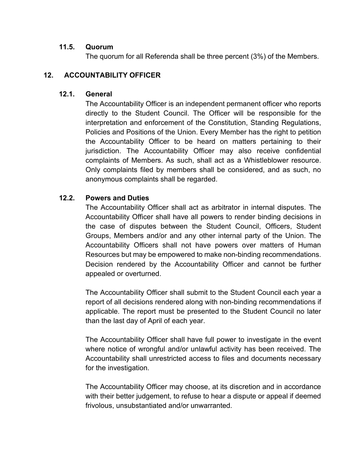### **11.5. Quorum**

The quorum for all Referenda shall be three percent (3%) of the Members.

## **12. ACCOUNTABILITY OFFICER**

### **12.1. General**

The Accountability Officer is an independent permanent officer who reports directly to the Student Council. The Officer will be responsible for the interpretation and enforcement of the Constitution, Standing Regulations, Policies and Positions of the Union. Every Member has the right to petition the Accountability Officer to be heard on matters pertaining to their jurisdiction. The Accountability Officer may also receive confidential complaints of Members. As such, shall act as a Whistleblower resource. Only complaints filed by members shall be considered, and as such, no anonymous complaints shall be regarded.

## **12.2. Powers and Duties**

The Accountability Officer shall act as arbitrator in internal disputes. The Accountability Officer shall have all powers to render binding decisions in the case of disputes between the Student Council, Officers, Student Groups, Members and/or and any other internal party of the Union. The Accountability Officers shall not have powers over matters of Human Resources but may be empowered to make non-binding recommendations. Decision rendered by the Accountability Officer and cannot be further appealed or overturned.

The Accountability Officer shall submit to the Student Council each year a report of all decisions rendered along with non-binding recommendations if applicable. The report must be presented to the Student Council no later than the last day of April of each year.

The Accountability Officer shall have full power to investigate in the event where notice of wrongful and/or unlawful activity has been received. The Accountability shall unrestricted access to files and documents necessary for the investigation.

The Accountability Officer may choose, at its discretion and in accordance with their better judgement, to refuse to hear a dispute or appeal if deemed frivolous, unsubstantiated and/or unwarranted.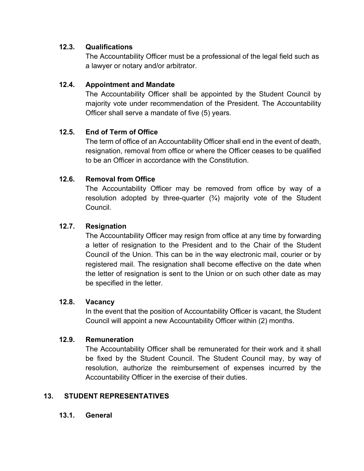## **12.3. Qualifications**

The Accountability Officer must be a professional of the legal field such as a lawyer or notary and/or arbitrator.

# **12.4. Appointment and Mandate**

The Accountability Officer shall be appointed by the Student Council by majority vote under recommendation of the President. The Accountability Officer shall serve a mandate of five (5) years.

# **12.5. End of Term of Office**

The term of office of an Accountability Officer shall end in the event of death, resignation, removal from office or where the Officer ceases to be qualified to be an Officer in accordance with the Constitution.

# **12.6. Removal from Office**

The Accountability Officer may be removed from office by way of a resolution adopted by three-quarter  $(3/4)$  majority vote of the Student Council.

# **12.7. Resignation**

The Accountability Officer may resign from office at any time by forwarding a letter of resignation to the President and to the Chair of the Student Council of the Union. This can be in the way electronic mail, courier or by registered mail. The resignation shall become effective on the date when the letter of resignation is sent to the Union or on such other date as may be specified in the letter.

# **12.8. Vacancy**

In the event that the position of Accountability Officer is vacant, the Student Council will appoint a new Accountability Officer within (2) months.

# **12.9. Remuneration**

The Accountability Officer shall be remunerated for their work and it shall be fixed by the Student Council. The Student Council may, by way of resolution, authorize the reimbursement of expenses incurred by the Accountability Officer in the exercise of their duties.

# **13. STUDENT REPRESENTATIVES**

# **13.1. General**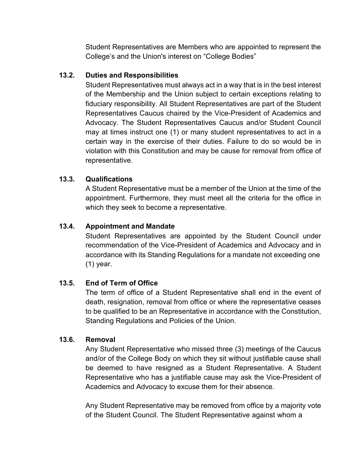Student Representatives are Members who are appointed to represent the College's and the Union's interest on "College Bodies"

## **13.2. Duties and Responsibilities**

Student Representatives must always act in a way that is in the best interest of the Membership and the Union subject to certain exceptions relating to fiduciary responsibility. All Student Representatives are part of the Student Representatives Caucus chaired by the Vice-President of Academics and Advocacy. The Student Representatives Caucus and/or Student Council may at times instruct one (1) or many student representatives to act in a certain way in the exercise of their duties. Failure to do so would be in violation with this Constitution and may be cause for removal from office of representative.

## **13.3. Qualifications**

A Student Representative must be a member of the Union at the time of the appointment. Furthermore, they must meet all the criteria for the office in which they seek to become a representative.

## **13.4. Appointment and Mandate**

Student Representatives are appointed by the Student Council under recommendation of the Vice-President of Academics and Advocacy and in accordance with its Standing Regulations for a mandate not exceeding one (1) year.

# **13.5. End of Term of Office**

The term of office of a Student Representative shall end in the event of death, resignation, removal from office or where the representative ceases to be qualified to be an Representative in accordance with the Constitution, Standing Regulations and Policies of the Union.

## **13.6. Removal**

Any Student Representative who missed three (3) meetings of the Caucus and/or of the College Body on which they sit without justifiable cause shall be deemed to have resigned as a Student Representative. A Student Representative who has a justifiable cause may ask the Vice-President of Academics and Advocacy to excuse them for their absence.

Any Student Representative may be removed from office by a majority vote of the Student Council. The Student Representative against whom a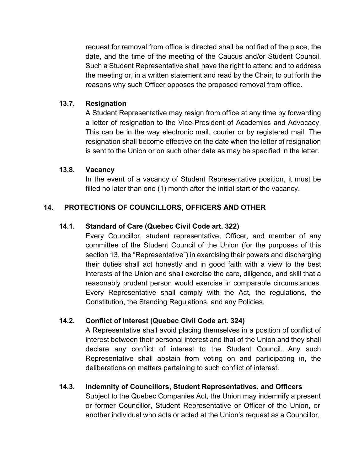request for removal from office is directed shall be notified of the place, the date, and the time of the meeting of the Caucus and/or Student Council. Such a Student Representative shall have the right to attend and to address the meeting or, in a written statement and read by the Chair, to put forth the reasons why such Officer opposes the proposed removal from office.

## **13.7. Resignation**

A Student Representative may resign from office at any time by forwarding a letter of resignation to the Vice-President of Academics and Advocacy. This can be in the way electronic mail, courier or by registered mail. The resignation shall become effective on the date when the letter of resignation is sent to the Union or on such other date as may be specified in the letter.

### **13.8. Vacancy**

In the event of a vacancy of Student Representative position, it must be filled no later than one (1) month after the initial start of the vacancy.

## **14. PROTECTIONS OF COUNCILLORS, OFFICERS AND OTHER**

### **14.1. Standard of Care (Quebec Civil Code art. 322)**

Every Councillor, student representative, Officer, and member of any committee of the Student Council of the Union (for the purposes of this section 13, the "Representative") in exercising their powers and discharging their duties shall act honestly and in good faith with a view to the best interests of the Union and shall exercise the care, diligence, and skill that a reasonably prudent person would exercise in comparable circumstances. Every Representative shall comply with the Act, the regulations, the Constitution, the Standing Regulations, and any Policies.

## **14.2. Conflict of Interest (Quebec Civil Code art. 324)**

A Representative shall avoid placing themselves in a position of conflict of interest between their personal interest and that of the Union and they shall declare any conflict of interest to the Student Council. Any such Representative shall abstain from voting on and participating in, the deliberations on matters pertaining to such conflict of interest.

## **14.3. Indemnity of Councillors, Student Representatives, and Officers**

Subject to the Quebec Companies Act, the Union may indemnify a present or former Councillor, Student Representative or Officer of the Union, or another individual who acts or acted at the Union's request as a Councillor,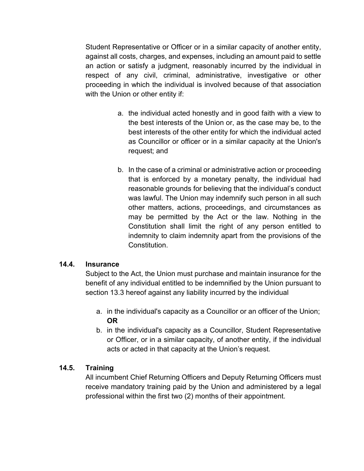Student Representative or Officer or in a similar capacity of another entity, against all costs, charges, and expenses, including an amount paid to settle an action or satisfy a judgment, reasonably incurred by the individual in respect of any civil, criminal, administrative, investigative or other proceeding in which the individual is involved because of that association with the Union or other entity if:

- a. the individual acted honestly and in good faith with a view to the best interests of the Union or, as the case may be, to the best interests of the other entity for which the individual acted as Councillor or officer or in a similar capacity at the Union's request; and
- b. In the case of a criminal or administrative action or proceeding that is enforced by a monetary penalty, the individual had reasonable grounds for believing that the individual's conduct was lawful. The Union may indemnify such person in all such other matters, actions, proceedings, and circumstances as may be permitted by the Act or the law. Nothing in the Constitution shall limit the right of any person entitled to indemnity to claim indemnity apart from the provisions of the **Constitution**

## **14.4. Insurance**

Subject to the Act, the Union must purchase and maintain insurance for the benefit of any individual entitled to be indemnified by the Union pursuant to section 13.3 hereof against any liability incurred by the individual

- a. in the individual's capacity as a Councillor or an officer of the Union; **OR**
- b. in the individual's capacity as a Councillor, Student Representative or Officer, or in a similar capacity, of another entity, if the individual acts or acted in that capacity at the Union's request.

## **14.5. Training**

All incumbent Chief Returning Officers and Deputy Returning Officers must receive mandatory training paid by the Union and administered by a legal professional within the first two (2) months of their appointment.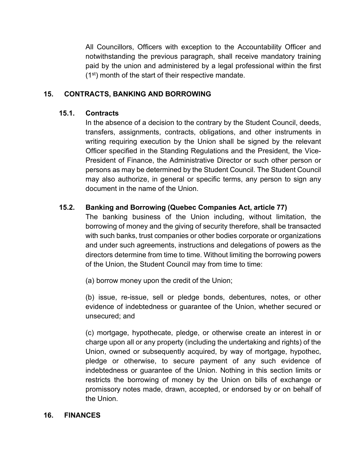All Councillors, Officers with exception to the Accountability Officer and notwithstanding the previous paragraph, shall receive mandatory training paid by the union and administered by a legal professional within the first  $(1<sup>st</sup>)$  month of the start of their respective mandate.

## **15. CONTRACTS, BANKING AND BORROWING**

### **15.1. Contracts**

In the absence of a decision to the contrary by the Student Council, deeds, transfers, assignments, contracts, obligations, and other instruments in writing requiring execution by the Union shall be signed by the relevant Officer specified in the Standing Regulations and the President, the Vice-President of Finance, the Administrative Director or such other person or persons as may be determined by the Student Council. The Student Council may also authorize, in general or specific terms, any person to sign any document in the name of the Union.

## **15.2. Banking and Borrowing (Quebec Companies Act, article 77)**

The banking business of the Union including, without limitation, the borrowing of money and the giving of security therefore, shall be transacted with such banks, trust companies or other bodies corporate or organizations and under such agreements, instructions and delegations of powers as the directors determine from time to time. Without limiting the borrowing powers of the Union, the Student Council may from time to time:

(a) borrow money upon the credit of the Union;

(b) issue, re-issue, sell or pledge bonds, debentures, notes, or other evidence of indebtedness or guarantee of the Union, whether secured or unsecured; and

(c) mortgage, hypothecate, pledge, or otherwise create an interest in or charge upon all or any property (including the undertaking and rights) of the Union, owned or subsequently acquired, by way of mortgage, hypothec, pledge or otherwise, to secure payment of any such evidence of indebtedness or guarantee of the Union. Nothing in this section limits or restricts the borrowing of money by the Union on bills of exchange or promissory notes made, drawn, accepted, or endorsed by or on behalf of the Union.

#### **16. FINANCES**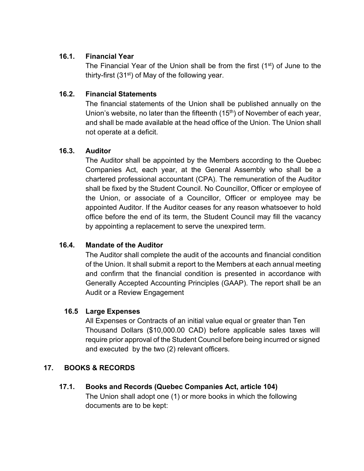## **16.1. Financial Year**

The Financial Year of the Union shall be from the first (1<sup>st</sup>) of June to the thirty-first  $(31<sup>st</sup>)$  of May of the following year.

## **16.2. Financial Statements**

The financial statements of the Union shall be published annually on the Union's website, no later than the fifteenth  $(15<sup>th</sup>)$  of November of each year, and shall be made available at the head office of the Union. The Union shall not operate at a deficit.

## **16.3. Auditor**

The Auditor shall be appointed by the Members according to the Quebec Companies Act, each year, at the General Assembly who shall be a chartered professional accountant (CPA). The remuneration of the Auditor shall be fixed by the Student Council. No Councillor, Officer or employee of the Union, or associate of a Councillor, Officer or employee may be appointed Auditor. If the Auditor ceases for any reason whatsoever to hold office before the end of its term, the Student Council may fill the vacancy by appointing a replacement to serve the unexpired term.

# **16.4. Mandate of the Auditor**

The Auditor shall complete the audit of the accounts and financial condition of the Union. It shall submit a report to the Members at each annual meeting and confirm that the financial condition is presented in accordance with Generally Accepted Accounting Principles (GAAP). The report shall be an Audit or a Review Engagement

# **16.5 Large Expenses**

All Expenses or Contracts of an initial value equal or greater than Ten Thousand Dollars (\$10,000.00 CAD) before applicable sales taxes will require prior approval of the Student Council before being incurred or signed and executed by the two (2) relevant officers.

# **17. BOOKS & RECORDS**

## **17.1. Books and Records (Quebec Companies Act, article 104)**

The Union shall adopt one (1) or more books in which the following documents are to be kept: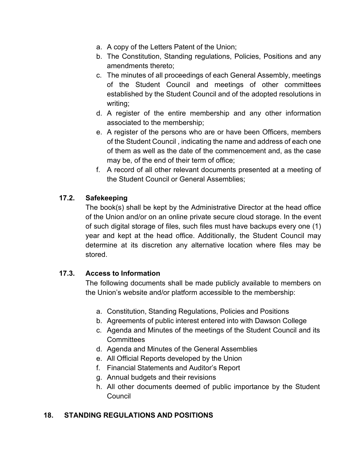- a. A copy of the Letters Patent of the Union;
- b. The Constitution, Standing regulations, Policies, Positions and any amendments thereto;
- c. The minutes of all proceedings of each General Assembly, meetings of the Student Council and meetings of other committees established by the Student Council and of the adopted resolutions in writing;
- d. A register of the entire membership and any other information associated to the membership;
- e. A register of the persons who are or have been Officers, members of the Student Council , indicating the name and address of each one of them as well as the date of the commencement and, as the case may be, of the end of their term of office;
- f. A record of all other relevant documents presented at a meeting of the Student Council or General Assemblies;

## **17.2. Safekeeping**

The book(s) shall be kept by the Administrative Director at the head office of the Union and/or on an online private secure cloud storage. In the event of such digital storage of files, such files must have backups every one (1) year and kept at the head office. Additionally, the Student Council may determine at its discretion any alternative location where files may be stored.

## **17.3. Access to Information**

The following documents shall be made publicly available to members on the Union's website and/or platform accessible to the membership:

- a. Constitution, Standing Regulations, Policies and Positions
- b. Agreements of public interest entered into with Dawson College
- c. Agenda and Minutes of the meetings of the Student Council and its **Committees**
- d. Agenda and Minutes of the General Assemblies
- e. All Official Reports developed by the Union
- f. Financial Statements and Auditor's Report
- g. Annual budgets and their revisions
- h. All other documents deemed of public importance by the Student **Council**

# **18. STANDING REGULATIONS AND POSITIONS**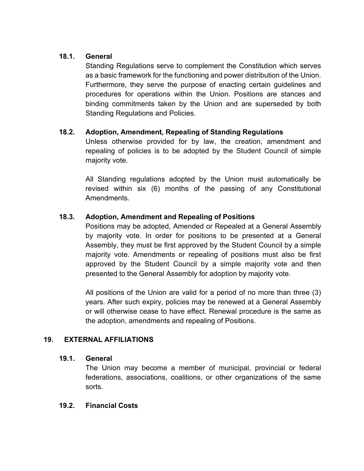## **18.1. General**

Standing Regulations serve to complement the Constitution which serves as a basic framework for the functioning and power distribution of the Union. Furthermore, they serve the purpose of enacting certain guidelines and procedures for operations within the Union. Positions are stances and binding commitments taken by the Union and are superseded by both Standing Regulations and Policies.

## **18.2. Adoption, Amendment, Repealing of Standing Regulations**

Unless otherwise provided for by law, the creation, amendment and repealing of policies is to be adopted by the Student Council of simple majority vote.

All Standing regulations adopted by the Union must automatically be revised within six (6) months of the passing of any Constitutional Amendments.

## **18.3. Adoption, Amendment and Repealing of Positions**

Positions may be adopted, Amended or Repealed at a General Assembly by majority vote. In order for positions to be presented at a General Assembly, they must be first approved by the Student Council by a simple majority vote. Amendments or repealing of positions must also be first approved by the Student Council by a simple majority vote and then presented to the General Assembly for adoption by majority vote.

All positions of the Union are valid for a period of no more than three (3) years. After such expiry, policies may be renewed at a General Assembly or will otherwise cease to have effect. Renewal procedure is the same as the adoption, amendments and repealing of Positions.

## **19. EXTERNAL AFFILIATIONS**

## **19.1. General**

The Union may become a member of municipal, provincial or federal federations, associations, coalitions, or other organizations of the same sorts.

#### **19.2. Financial Costs**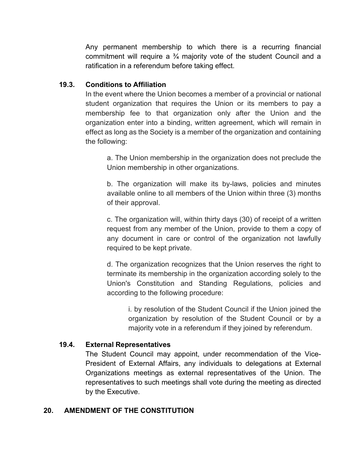Any permanent membership to which there is a recurring financial commitment will require a  $\frac{3}{4}$  majority vote of the student Council and a ratification in a referendum before taking effect.

## **19.3. Conditions to Affiliation**

In the event where the Union becomes a member of a provincial or national student organization that requires the Union or its members to pay a membership fee to that organization only after the Union and the organization enter into a binding, written agreement, which will remain in effect as long as the Society is a member of the organization and containing the following:

a. The Union membership in the organization does not preclude the Union membership in other organizations.

b. The organization will make its by-laws, policies and minutes available online to all members of the Union within three (3) months of their approval.

c. The organization will, within thirty days (30) of receipt of a written request from any member of the Union, provide to them a copy of any document in care or control of the organization not lawfully required to be kept private.

d. The organization recognizes that the Union reserves the right to terminate its membership in the organization according solely to the Union's Constitution and Standing Regulations, policies and according to the following procedure:

i. by resolution of the Student Council if the Union joined the organization by resolution of the Student Council or by a majority vote in a referendum if they joined by referendum.

## **19.4. External Representatives**

The Student Council may appoint, under recommendation of the Vice-President of External Affairs, any individuals to delegations at External Organizations meetings as external representatives of the Union. The representatives to such meetings shall vote during the meeting as directed by the Executive.

## **20. AMENDMENT OF THE CONSTITUTION**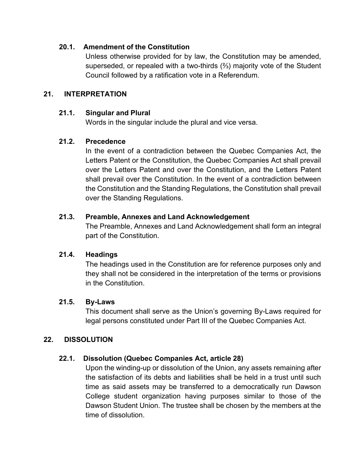## **20.1. Amendment of the Constitution**

Unless otherwise provided for by law, the Constitution may be amended, superseded, or repealed with a two-thirds (⅔) majority vote of the Student Council followed by a ratification vote in a Referendum.

### **21. INTERPRETATION**

#### **21.1. Singular and Plural**

Words in the singular include the plural and vice versa.

### **21.2. Precedence**

In the event of a contradiction between the Quebec Companies Act, the Letters Patent or the Constitution, the Quebec Companies Act shall prevail over the Letters Patent and over the Constitution, and the Letters Patent shall prevail over the Constitution. In the event of a contradiction between the Constitution and the Standing Regulations, the Constitution shall prevail over the Standing Regulations.

#### **21.3. Preamble, Annexes and Land Acknowledgement**

The Preamble, Annexes and Land Acknowledgement shall form an integral part of the Constitution.

## **21.4. Headings**

The headings used in the Constitution are for reference purposes only and they shall not be considered in the interpretation of the terms or provisions in the Constitution.

#### **21.5. By-Laws**

This document shall serve as the Union's governing By-Laws required for legal persons constituted under Part III of the Quebec Companies Act.

#### **22. DISSOLUTION**

## **22.1. Dissolution (Quebec Companies Act, article 28)**

Upon the winding-up or dissolution of the Union, any assets remaining after the satisfaction of its debts and liabilities shall be held in a trust until such time as said assets may be transferred to a democratically run Dawson College student organization having purposes similar to those of the Dawson Student Union. The trustee shall be chosen by the members at the time of dissolution.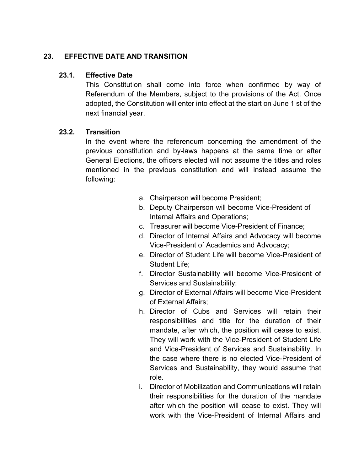## **23. EFFECTIVE DATE AND TRANSITION**

### **23.1. Effective Date**

This Constitution shall come into force when confirmed by way of Referendum of the Members, subject to the provisions of the Act. Once adopted, the Constitution will enter into effect at the start on June 1 st of the next financial year.

### **23.2. Transition**

In the event where the referendum concerning the amendment of the previous constitution and by-laws happens at the same time or after General Elections, the officers elected will not assume the titles and roles mentioned in the previous constitution and will instead assume the following:

- a. Chairperson will become President;
- b. Deputy Chairperson will become Vice-President of Internal Affairs and Operations;
- c. Treasurer will become Vice-President of Finance;
- d. Director of Internal Affairs and Advocacy will become Vice-President of Academics and Advocacy;
- e. Director of Student Life will become Vice-President of Student Life;
- f. Director Sustainability will become Vice-President of Services and Sustainability;
- g. Director of External Affairs will become Vice-President of External Affairs;
- h. Director of Cubs and Services will retain their responsibilities and title for the duration of their mandate, after which, the position will cease to exist. They will work with the Vice-President of Student Life and Vice-President of Services and Sustainability. In the case where there is no elected Vice-President of Services and Sustainability, they would assume that role.
- i. Director of Mobilization and Communications will retain their responsibilities for the duration of the mandate after which the position will cease to exist. They will work with the Vice-President of Internal Affairs and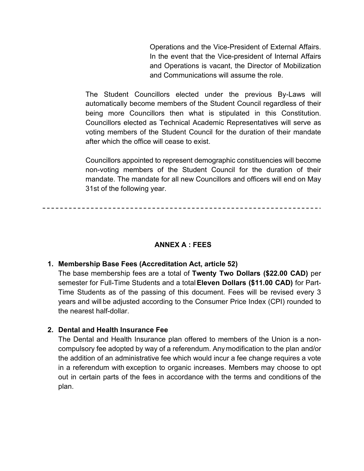Operations and the Vice-President of External Affairs. In the event that the Vice-president of Internal Affairs and Operations is vacant, the Director of Mobilization and Communications will assume the role.

The Student Councillors elected under the previous By-Laws will automatically become members of the Student Council regardless of their being more Councillors then what is stipulated in this Constitution. Councillors elected as Technical Academic Representatives will serve as voting members of the Student Council for the duration of their mandate after which the office will cease to exist.

Councillors appointed to represent demographic constituencies will become non-voting members of the Student Council for the duration of their mandate. The mandate for all new Councillors and officers will end on May 31st of the following year.

#### **ANNEX A : FEES**

#### **1. Membership Base Fees (Accreditation Act, article 52)**

The base membership fees are a total of **Twenty Two Dollars (\$22.00 CAD)** per semester for Full-Time Students and a total**Eleven Dollars (\$11.00 CAD)** for Part-Time Students as of the passing of this document. Fees will be revised every 3 years and will be adjusted according to the Consumer Price Index (CPI) rounded to the nearest half-dollar.

#### **2. Dental and Health Insurance Fee**

The Dental and Health Insurance plan offered to members of the Union is a noncompulsory fee adopted by way of a referendum. Anymodification to the plan and/or the addition of an administrative fee which would incur a fee change requires a vote in a referendum with exception to organic increases. Members may choose to opt out in certain parts of the fees in accordance with the terms and conditions of the plan.